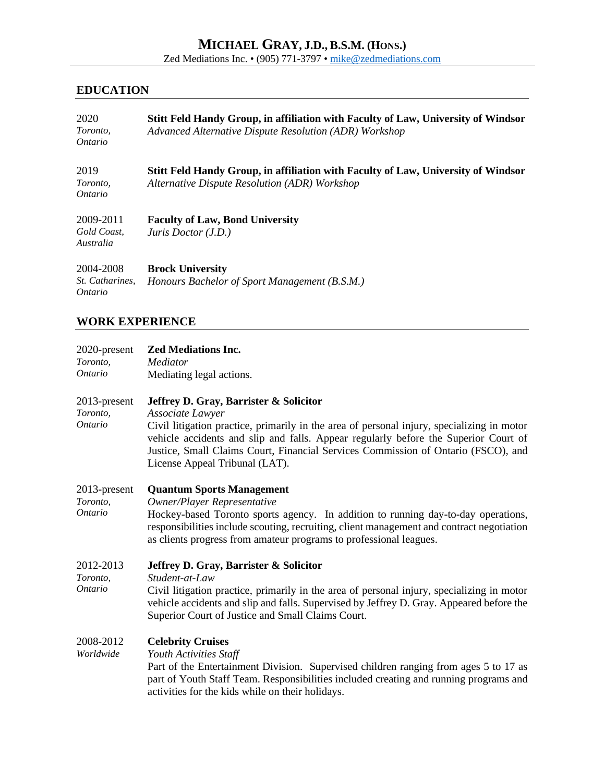# **MICHAEL GRAY, J.D., B.S.M. (HONS.)**

Zed Mediations Inc. • (905) 771-3797 • [mike@zedmediations.com](mailto:mike@zedmediations.com)

## **EDUCATION**

| 2020<br>Toronto,<br><i>Ontario</i>      | Stitt Feld Handy Group, in affiliation with Faculty of Law, University of Windsor<br>Advanced Alternative Dispute Resolution (ADR) Workshop |
|-----------------------------------------|---------------------------------------------------------------------------------------------------------------------------------------------|
| 2019<br>Toronto,<br><i>Ontario</i>      | Stitt Feld Handy Group, in affiliation with Faculty of Law, University of Windsor<br>Alternative Dispute Resolution (ADR) Workshop          |
| 2009-2011<br>Gold Coast,<br>Australia   | <b>Faculty of Law, Bond University</b><br>Juris Doctor (J.D.)                                                                               |
| 2004-2008<br>St. Catharines,<br>Ontario | <b>Brock University</b><br>Honours Bachelor of Sport Management (B.S.M.)                                                                    |

## **WORK EXPERIENCE**

| 2020-present<br>Toronto,<br><i>Ontario</i> | <b>Zed Mediations Inc.</b><br>Mediator<br>Mediating legal actions.                                                                                                                                                                                                                                                                                                     |
|--------------------------------------------|------------------------------------------------------------------------------------------------------------------------------------------------------------------------------------------------------------------------------------------------------------------------------------------------------------------------------------------------------------------------|
| 2013-present<br>Toronto,<br><b>Ontario</b> | Jeffrey D. Gray, Barrister & Solicitor<br>Associate Lawyer<br>Civil litigation practice, primarily in the area of personal injury, specializing in motor<br>vehicle accidents and slip and falls. Appear regularly before the Superior Court of<br>Justice, Small Claims Court, Financial Services Commission of Ontario (FSCO), and<br>License Appeal Tribunal (LAT). |
| 2013-present<br>Toronto,<br><b>Ontario</b> | <b>Quantum Sports Management</b><br>Owner/Player Representative<br>Hockey-based Toronto sports agency. In addition to running day-to-day operations,<br>responsibilities include scouting, recruiting, client management and contract negotiation<br>as clients progress from amateur programs to professional leagues.                                                |
| 2012-2013<br>Toronto,<br><b>Ontario</b>    | Jeffrey D. Gray, Barrister & Solicitor<br>Student-at-Law<br>Civil litigation practice, primarily in the area of personal injury, specializing in motor<br>vehicle accidents and slip and falls. Supervised by Jeffrey D. Gray. Appeared before the<br>Superior Court of Justice and Small Claims Court.                                                                |
| 2008-2012<br>Worldwide                     | <b>Celebrity Cruises</b><br>Youth Activities Staff<br>Part of the Entertainment Division. Supervised children ranging from ages 5 to 17 as<br>part of Youth Staff Team. Responsibilities included creating and running programs and<br>activities for the kids while on their holidays.                                                                                |